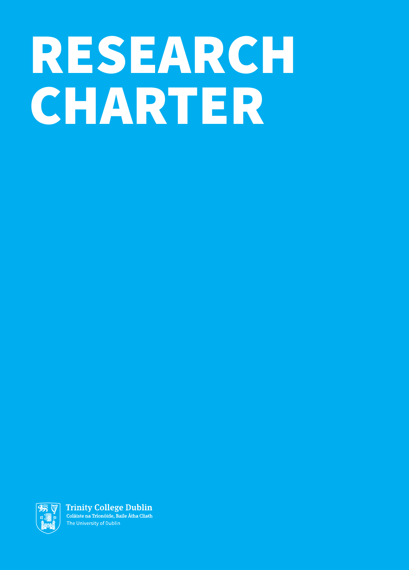# RESEARCH CHARTER



**Trinity College Dublin** Coláiste na Tríonóide, Baile Átha Cliath The University of Dublin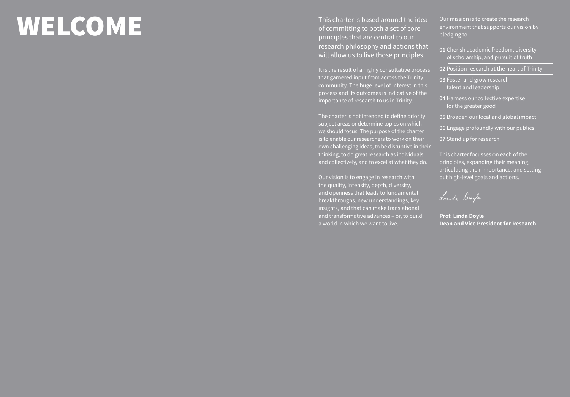### WELCOME

This charter is based around the idea of committing to both a set of core principles that are central to our research philosophy and actions that will allow us to live those principles.

It is the result of a highly consultative process that garnered input from across the Trinity community. The huge level of interest in this process and its outcomes is indicative of the importance of research to us in Trinity.

The charter is not intended to define priority subject areas or determine topics on which we should focus. The purpose of the charter is to enable our researchers to work on their own challenging ideas, to be disruptive in their thinking, to do great research as individuals and collectively, and to excel at what they do.

Our vision is to engage in research with the quality, intensity, depth, diversity, and openness that leads to fundamental breakthroughs, new understandings, key insights, and that can make translational and transformative advances – or, to build a world in which we want to live.

Our mission is to create the research environment that supports our vision by pledging to

- **01** Cherish academic freedom, diversity of scholarship, and pursuit of truth
- **02** Position research at the heart of Trinity
- **03** Foster and grow research talent and leadership
- **04** Harness our collective expertise for the greater good
- **05** Broaden our local and global impact
- **06** Engage profoundly with our publics
- **07** Stand up for research

This charter focusses on each of the principles, expanding their meaning, articulating their importance, and setting out high-level goals and actions.

Linda Doyle

**Prof. Linda Doyle Dean and Vice President for Research**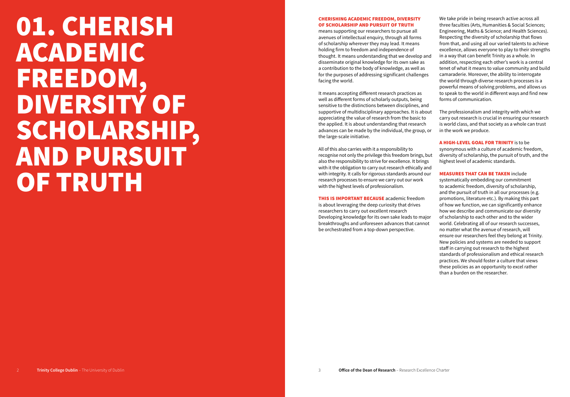### 01. CHERISH ACADEMIC FREEDOM, DIVERSITY OF SCHOLARSHIP, AND PURSUIT OF TRUTH

### CHERISHING ACADEMIC FREEDOM, DIVERSITY OF SCHOLARSHIP AND PURSUIT OF TRUTH

means supporting our researchers to pursue all avenues of intellectual enquiry, through all forms of scholarship wherever they may lead. It means holding firm to freedom and independence of thought. It means understanding that we develop and disseminate original knowledge for its own sake as a contribution to the body of knowledge, as well as for the purposes of addressing significant challenges facing the world.

It means accepting different research practices as well as different forms of scholarly outputs, being sensitive to the distinctions between disciplines, and supportive of multidisciplinary approaches. It is about appreciating the value of research from the basic to the applied. It is about understanding that research advances can be made by the individual, the group, or the large-scale initiative.

All of this also carries with it a responsibility to recognise not only the privilege this freedom brings, but also the responsibility to strive for excellence. It brings with it the obligation to carry out research ethically and with integrity. It calls for rigorous standards around our research processes to ensure we carry out our work with the highest levels of professionalism.

THIS IS IMPORTANT BECAUSE academic freedom is about leveraging the deep curiosity that drives researchers to carry out excellent research Developing knowledge for its own sake leads to major breakthroughs and unforeseen advances that cannot be orchestrated from a top-down perspective.

We take pride in being research active across all three faculties (Arts, Humanities & Social Sciences; Engineering, Maths & Science; and Health Sciences). Respecting the diversity of scholarship that flows from that, and using all our varied talents to achieve excellence, allows everyone to play to their strengths in a way that can benefit Trinity as a whole. In addition, respecting each other's work is a central tenet of what it means to value community and build camaraderie. Moreover, the ability to interrogate the world through diverse research processes is a powerful means of solving problems, and allows us to speak to the world in different ways and find new forms of communication.

The professionalism and integrity with which we carry out research is crucial in ensuring our research is world class, and that society as a whole can trust in the work we produce.

A HIGH-LEVEL GOAL FOR TRINITY is to be synonymous with a culture of academic freedom, diversity of scholarship, the pursuit of truth, and the highest level of academic standards.

### MEASURES THAT CAN BE TAKEN include

systematically embedding our commitment to academic freedom, diversity of scholarship, and the pursuit of truth in all our processes (e.g. promotions, literature etc.). By making this part of how we function, we can significantly enhance how we describe and communicate our diversity of scholarship to each other and to the wider world. Celebrating all of our research successes, no matter what the avenue of research, will ensure our researchers feel they belong at Trinity. New policies and systems are needed to support staff in carrying out research to the highest standards of professionalism and ethical research practices. We should foster a culture that views these policies as an opportunity to excel rather than a burden on the researcher.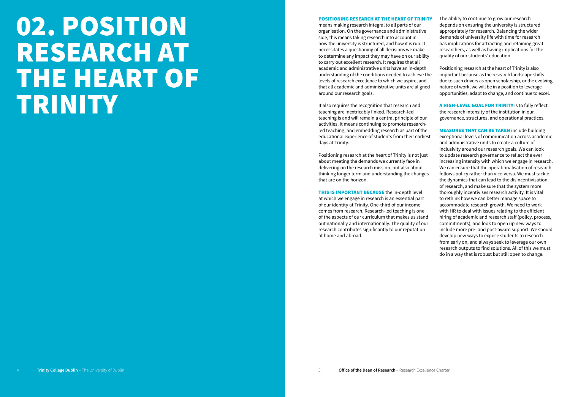### 02. POSITION RESEARCH AT THE HEART OF TRINITY

### POSITIONING RESEARCH AT THE HEART OF TRINITY

means making research integral to all parts of our organisation. On the governance and administrative side, this means taking research into account in how the university is structured, and how it is run. It necessitates a questioning of all decisions we make to determine any impact they may have on our ability to carry out excellent research. It requires that all academic and administrative units have an in-depth understanding of the conditions needed to achieve the levels of research excellence to which we aspire, and that all academic and administrative units are aligned around our research goals.

It also requires the recognition that research and teaching are inextricably linked. Research-led teaching is and will remain a central principle of our activities. It means continuing to promote researchled teaching, and embedding research as part of the educational experience of students from their earliest days at Trinity.

Positioning research at the heart of Trinity is not just about meeting the demands we currently face in delivering on the research mission, but also about thinking longer term and understanding the changes that are on the horizon.

**THIS IS IMPORTANT BECAUSE** the in-depth level at which we engage in research is an essential part of our identity at Trinity. One-third of our income comes from research. Research-led teaching is one of the aspects of our curriculum that makes us stand out nationally and internationally. The quality of our research contributes significantly to our reputation at home and abroad.

The ability to continue to grow our research depends on ensuring the university is structured appropriately for research. Balancing the wider demands of university life with time for research has implications for attracting and retaining great researchers, as well as having implications for the quality of our students' education.

Positioning research at the heart of Trinity is also important because as the research landscape shifts due to such drivers as open scholarship, or the evolving nature of work, we will be in a position to leverage opportunities, adapt to change, and continue to excel.

A HIGH-LEVEL GOAL FOR TRINITY is to fully reflect the research intensity of the institution in our governance, structures, and operational practices.

MEASURES THAT CAN BE TAKEN include building exceptional levels of communication across academic and administrative units to create a culture of inclusivity around our research goals. We can look to update research governance to reflect the ever increasing intensity with which we engage in research. We can ensure that the operationalisation of research follows policy rather than vice-versa. We must tackle the dynamics that can lead to the disincentivisation of research, and make sure that the system more thoroughly incentivises research activity. It is vital to rethink how we can better manage space to accommodate research growth. We need to work with HR to deal with issues relating to the efficient hiring of academic and research staff (policy, process, commitments), and look to open up new ways to include more pre- and post-award support. We should develop new ways to expose students to research from early on, and always seek to leverage our own research outputs to find solutions. All of this we must do in a way that is robust but still open to change.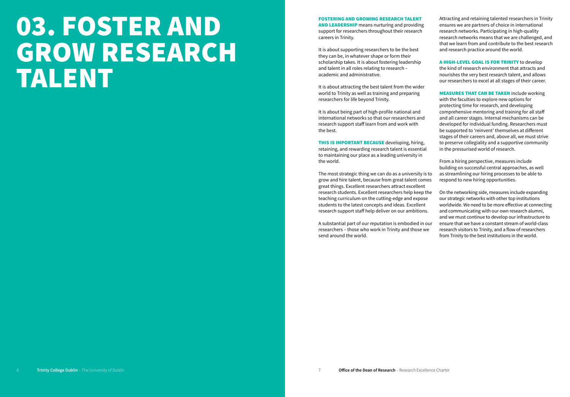### 03. FOSTER AND GROW RESEARCH TALENT

FOSTERING AND GROWING RESEARCH TALENT AND LEADERSHIP means nurturing and providing support for researchers throughout their research careers in Trinity.

It is about supporting researchers to be the best they can be, in whatever shape or form their scholarship takes. It is about fostering leadership and talent in all roles relating to research – academic and administrative.

It is about attracting the best talent from the wider world to Trinity as well as training and preparing researchers for life beyond Trinity.

It is about being part of high-profile national and international networks so that our researchers and research support staff learn from and work with the best.

THIS IS IMPORTANT BECAUSE developing, hiring, retaining, and rewarding research talent is essential to maintaining our place as a leading university in the world.

The most strategic thing we can do as a university is to grow and hire talent, because from great talent comes great things. Excellent researchers attract excellent research students. Excellent researchers help keep the teaching curriculum on the cutting-edge and expose students to the latest concepts and ideas. Excellent research support staff help deliver on our ambitions.

A substantial part of our reputation is embodied in our researchers – those who work in Trinity and those we send around the world.

Attracting and retaining talented researchers in Trinity ensures we are partners of choice in international research networks. Participating in high-quality research networks means that we are challenged, and that we learn from and contribute to the best research and research practice around the world.

A HIGH-LEVEL GOAL IS FOR TRINITY to develop the kind of research environment that attracts and nourishes the very best research talent, and allows our researchers to excel at all stages of their career.

MEASURES THAT CAN BE TAKEN include working with the faculties to explore new options for protecting time for research, and developing comprehensive mentoring and training for all staff and all career stages. Internal mechanisms can be developed for individual funding. Researchers must be supported to 'reinvent' themselves at different stages of their careers and, above all, we must strive to preserve collegiality and a supportive community in the pressurised world of research.

From a hiring perspective, measures include building on successful central approaches, as well as streamlining our hiring processes to be able to respond to new hiring opportunities.

On the networking side, measures include expanding our strategic networks with other top institutions worldwide. We need to be more effective at connecting and communicating with our own research alumni, and we must continue to develop our infrastructure to ensure that we have a constant stream of world-class research visitors to Trinity, and a flow of researchers from Trinity to the best institutions in the world.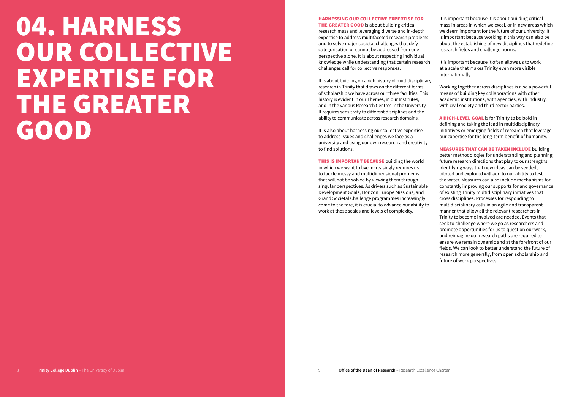### 04. HARNESS OUR COLLECTIVE EXPERTISE FOR THE GREATER GOOD

### HARNESSING OUR COLLECTIVE EXPERTISE FOR

**THE GREATER GOOD** is about building critical research mass and leveraging diverse and in-depth expertise to address multifaceted research problems, and to solve major societal challenges that defy categorisation or cannot be addressed from one perspective alone. It is about respecting individual knowledge while understanding that certain research challenges call for collective responses.

It is about building on a rich history of multidisciplinary research in Trinity that draws on the different forms of scholarship we have across our three faculties. This history is evident in our Themes, in our Institutes, and in the various Research Centres in the University. It requires sensitivity to different disciplines and the ability to communicate across research domains.

It is also about harnessing our collective expertise to address issues and challenges we face as a university and using our own research and creativity to find solutions.

THIS IS IMPORTANT BECAUSE building the world in which we want to live increasingly requires us to tackle messy and multidimensional problems that will not be solved by viewing them through singular perspectives. As drivers such as Sustainable Development Goals, Horizon Europe Missions, and Grand Societal Challenge programmes increasingly come to the fore, it is crucial to advance our ability to work at these scales and levels of complexity.

It is important because it is about building critical mass in areas in which we excel, or in new areas which we deem important for the future of our university. It is important because working in this way can also be about the establishing of new disciplines that redefine research fields and challenge norms.

It is important because it often allows us to work at a scale that makes Trinity even more visible internationally.

Working together across disciplines is also a powerful means of building key collaborations with other academic institutions, with agencies, with industry, with civil society and third sector parties.

A HIGH-LEVEL GOAL is for Trinity to be bold in defining and taking the lead in multidisciplinary initiatives or emerging fields of research that leverage our expertise for the long-term benefit of humanity.

MEASURES THAT CAN BE TAKEN INCLUDE building better methodologies for understanding and planning future research directions that play to our strengths. Identifying ways that new ideas can be seeded, piloted and explored will add to our ability to test the water. Measures can also include mechanisms for constantly improving our supports for and governance of existing Trinity multidisciplinary initiatives that cross disciplines. Processes for responding to multidisciplinary calls in an agile and transparent manner that allow all the relevant researchers in Trinity to become involved are needed. Events that seek to challenge where we go as researchers and promote opportunities for us to question our work, and reimagine our research paths are required to ensure we remain dynamic and at the forefront of our fields. We can look to better understand the future of research more generally, from open scholarship and future of work perspectives.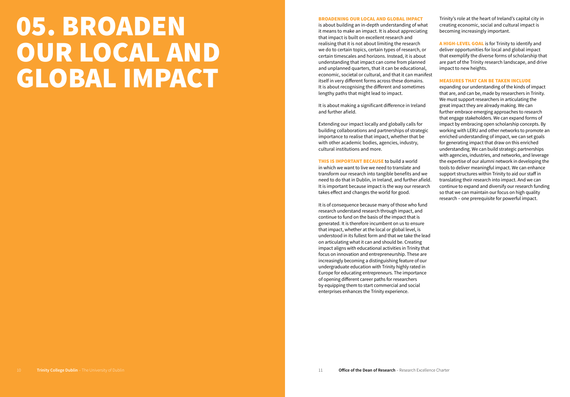### 05. BROADEN OUR LOCAL AND GLOBAL IMPACT

### BROADENING OUR LOCAL AND GLOBAL IMPACT

is about building an in-depth understanding of what it means to make an impact. It is about appreciating that impact is built on excellent research and realising that it is not about limiting the research we do to certain topics, certain types of research, or certain timescales and horizons. Instead, it is about understanding that impact can come from planned and unplanned quarters, that it can be educational, economic, societal or cultural, and that it can manifest itself in very different forms across these domains. It is about recognising the different and sometimes lengthy paths that might lead to impact.

It is about making a significant difference in Ireland and further afield.

Extending our impact locally and globally calls for building collaborations and partnerships of strategic importance to realise that impact, whether that be with other academic bodies, agencies, industry, cultural institutions and more.

**THIS IS IMPORTANT BECAUSE to build a world** in which we want to live we need to translate and transform our research into tangible benefits and we need to do that in Dublin, in Ireland, and further afield. It is important because impact is the way our research takes effect and changes the world for good.

It is of consequence because many of those who fund research understand research through impact, and continue to fund on the basis of the impact that is generated. It is therefore incumbent on us to ensure that impact, whether at the local or global level, is understood in its fullest form and that we take the lead on articulating what it can and should be. Creating impact aligns with educational activities in Trinity that focus on innovation and entrepreneurship. These are increasingly becoming a distinguishing feature of our undergraduate education with Trinity highly rated in Europe for educating entrepreneurs. The importance of opening different career paths for researchers by equipping them to start commercial and social enterprises enhances the Trinity experience.

Trinity's role at the heart of Ireland's capital city in creating economic, social and cultural impact is becoming increasingly important.

A HIGH-LEVEL GOAL is for Trinity to identify and deliver opportunities for local and global impact that exemplify the diverse forms of scholarship that are part of the Trinity research landscape, and drive impact to new heights.

### MEASURES THAT CAN BE TAKEN INCLUDE

expanding our understanding of the kinds of impact that are, and can be, made by researchers in Trinity. We must support researchers in articulating the great impact they are already making. We can further embrace emerging approaches to research that engage stakeholders. We can expand forms of impact by embracing open scholarship concepts. By working with LERU and other networks to promote an enriched understanding of impact, we can set goals for generating impact that draw on this enriched understanding. We can build strategic partnerships with agencies, industries, and networks, and leverage the expertise of our alumni network in developing the tools to deliver meaningful impact. We can enhance support structures within Trinity to aid our staff in translating their research into impact. And we can continue to expand and diversify our research funding so that we can maintain our focus on high quality research – one prerequisite for powerful impact.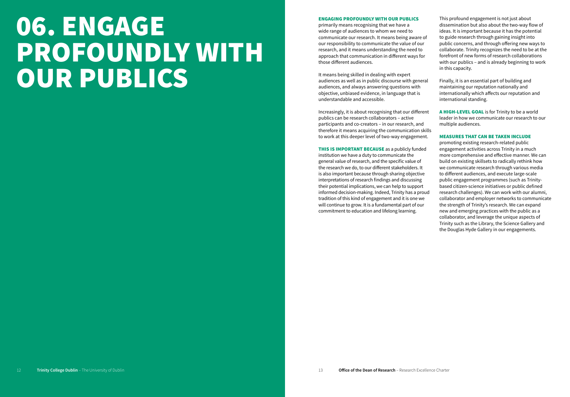### 06. ENGAGE PROFOUNDLY WITH OUR PUBLICS

### ENGAGING PROFOUNDLY WITH OUR PUBLICS

primarily means recognising that we have a wide range of audiences to whom we need to communicate our research. It means being aware of our responsibility to communicate the value of our research, and it means understanding the need to approach that communication in different ways for those different audiences.

It means being skilled in dealing with expert audiences as well as in public discourse with general audiences, and always answering questions with objective, unbiased evidence, in language that is understandable and accessible.

Increasingly, it is about recognising that our different publics can be research collaborators – active participants and co-creators – in our research, and therefore it means acquiring the communication skills to work at this deeper level of two-way engagement.

**THIS IS IMPORTANT BECAUSE** as a publicly funded institution we have a duty to communicate the general value of research, and the specific value of the research we do, to our different stakeholders. It is also important because through sharing objective interpretations of research findings and discussing their potential implications, we can help to support informed decision-making. Indeed, Trinity has a proud tradition of this kind of engagement and it is one we will continue to grow. It is a fundamental part of our commitment to education and lifelong learning.

This profound engagement is not just about dissemination but also about the two-way flow of ideas. It is important because it has the potential to guide research through gaining insight into public concerns, and through offering new ways to collaborate. Trinity recognizes the need to be at the forefront of new forms of research collaborations with our publics – and is already beginning to work in this capacity.

Finally, it is an essential part of building and maintaining our reputation nationally and internationally which affects our reputation and international standing.

A HIGH-LEVEL GOAL is for Trinity to be a world leader in how we communicate our research to our multiple audiences.

### MEASURES THAT CAN BE TAKEN INCLUDE

promoting existing research-related public engagement activities across Trinity in a much more comprehensive and effective manner. We can build on existing skillsets to radically rethink how we communicate research through various media to different audiences, and execute large-scale public engagement programmes (such as Trinitybased citizen-science initiatives or public defined research challenges). We can work with our alumni, collaborator and employer networks to communicate the strength of Trinity's research. We can expand new and emerging practices with the public as a collaborator, and leverage the unique aspects of Trinity such as the Library, the Science Gallery and the Douglas Hyde Gallery in our engagements.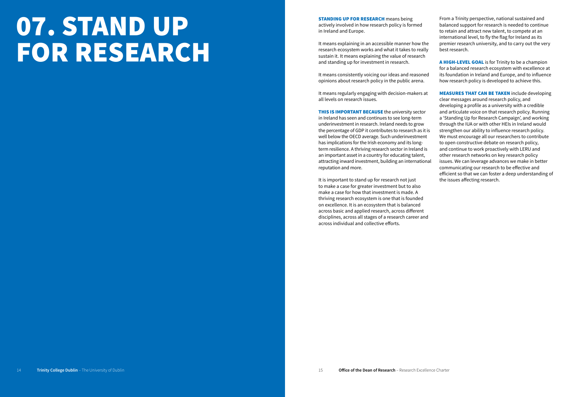### 07. STAND UP FOR RESEARCH

STANDING UP FOR RESEARCH means being actively involved in how research policy is formed in Ireland and Europe.

It means explaining in an accessible manner how the research ecosystem works and what it takes to really sustain it. It means explaining the value of research and standing up for investment in research.

It means consistently voicing our ideas and reasoned opinions about research policy in the public arena.

It means regularly engaging with decision-makers at all levels on research issues.

**THIS IS IMPORTANT BECAUSE** the university sector in Ireland has seen and continues to see long-term underinvestment in research. Ireland needs to grow the percentage of GDP it contributes to research as it is well below the OECD average. Such underinvestment has implications for the Irish economy and its longterm resilience. A thriving research sector in Ireland is an important asset in a country for educating talent, attracting inward investment, building an international reputation and more.

It is important to stand up for research not just to make a case for greater investment but to also make a case for how that investment is made. A thriving research ecosystem is one that is founded on excellence. It is an ecosystem that is balanced across basic and applied research, across different disciplines, across all stages of a research career and across individual and collective efforts.

From a Trinity perspective, national sustained and balanced support for research is needed to continue to retain and attract new talent, to compete at an international level, to fly the flag for Ireland as its premier research university, and to carry out the very best research.

A HIGH-LEVEL GOAL is for Trinity to be a champion for a balanced research ecosystem with excellence at its foundation in Ireland and Europe, and to influence how research policy is developed to achieve this.

MEASURES THAT CAN BE TAKEN include developing clear messages around research policy, and developing a profile as a university with a credible and articulate voice on that research policy. Running a 'Standing Up for Research Campaign', and working through the IUA or with other HEIs in Ireland would strengthen our ability to influence research policy. We must encourage all our researchers to contribute to open constructive debate on research policy, and continue to work proactively with LERU and other research networks on key research policy issues. We can leverage advances we make in better communicating our research to be effective and efficient so that we can foster a deep understanding of the issues affecting research.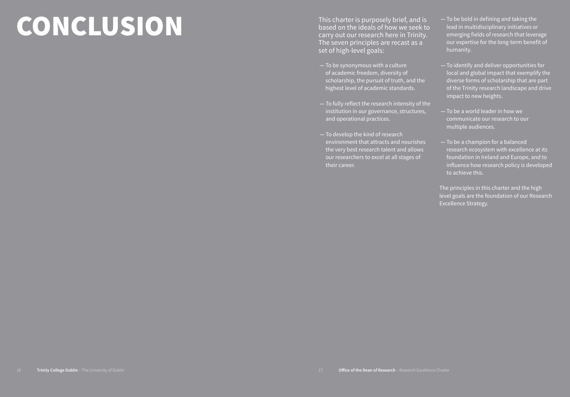## CONCLUSION

This charter is purposely brief, and is based on the ideals of how we seek to carry out our research here in Trinity. The seven principles are recast as a set of high-level goals:

- **—** To be synonymous with a culture of academic freedom, diversity of scholarship, the pursuit of truth, and the highest level of academic standards.
- **—** To fully reflect the research intensity of the institution in our governance, structures, and operational practices.
- **—** To develop the kind of research environment that attracts and nourishes the very best research talent and allows our researchers to excel at all stages of their career.
- **—** To be bold in defining and taking the lead in multidisciplinary initiatives or emerging fields of research that leverage our expertise for the long-term benefit of humanity.
- **—** To identify and deliver opportunities for local and global impact that exemplify the diverse forms of scholarship that are part of the Trinity research landscape and drive impact to new heights.
- **—** To be a world leader in how we communicate our research to our multiple audiences.
- **—** To be a champion for a balanced research ecosystem with excellence at its foundation in Ireland and Europe, and to influence how research policy is developed to achieve this.

The principles in this charter and the high level goals are the foundation of our Research Excellence Strategy.